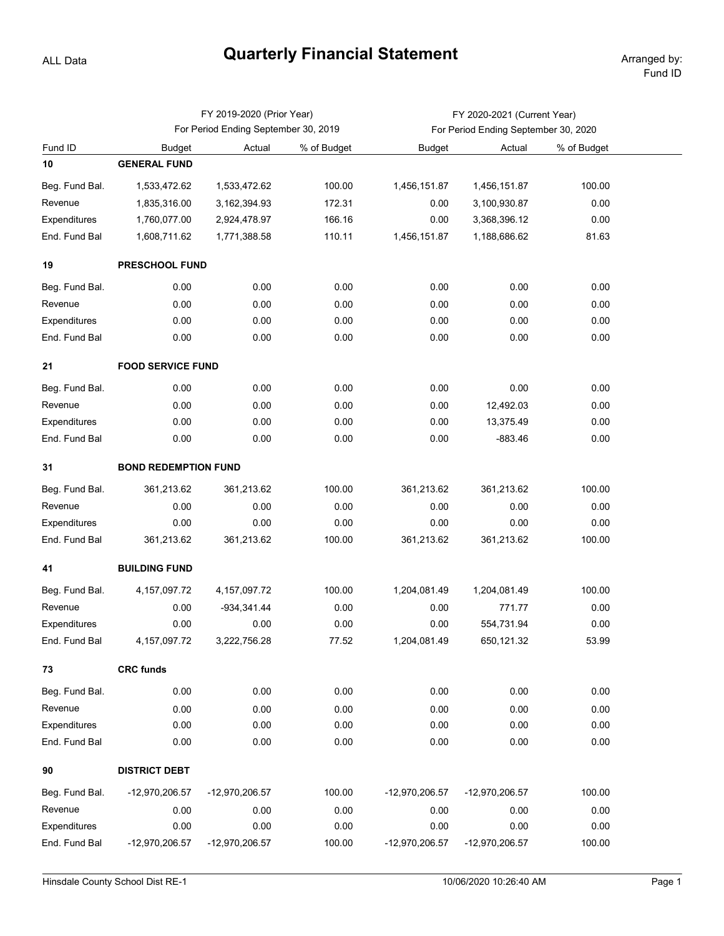## **Quarterly Financial Statement**

ALL Data

|                |                                      | FY 2019-2020 (Prior Year) |             | FY 2020-2021 (Current Year)          |                |             |  |  |  |  |
|----------------|--------------------------------------|---------------------------|-------------|--------------------------------------|----------------|-------------|--|--|--|--|
|                | For Period Ending September 30, 2019 |                           |             | For Period Ending September 30, 2020 |                |             |  |  |  |  |
| Fund ID        | <b>Budget</b>                        | Actual                    | % of Budget | <b>Budget</b>                        | Actual         | % of Budget |  |  |  |  |
| 10             | <b>GENERAL FUND</b>                  |                           |             |                                      |                |             |  |  |  |  |
| Beg. Fund Bal. | 1,533,472.62                         | 1,533,472.62              | 100.00      | 1,456,151.87                         | 1,456,151.87   | 100.00      |  |  |  |  |
| Revenue        | 1,835,316.00                         | 3, 162, 394. 93           | 172.31      | 0.00                                 | 3,100,930.87   | 0.00        |  |  |  |  |
| Expenditures   | 1,760,077.00                         | 2,924,478.97              | 166.16      | 0.00                                 | 3,368,396.12   | 0.00        |  |  |  |  |
| End. Fund Bal  | 1,608,711.62                         | 1,771,388.58              | 110.11      | 1,456,151.87                         | 1,188,686.62   | 81.63       |  |  |  |  |
| 19             | PRESCHOOL FUND                       |                           |             |                                      |                |             |  |  |  |  |
| Beg. Fund Bal. | 0.00                                 | 0.00                      | 0.00        | 0.00                                 | 0.00           | 0.00        |  |  |  |  |
| Revenue        | 0.00                                 | 0.00                      | 0.00        | 0.00                                 | 0.00           | 0.00        |  |  |  |  |
| Expenditures   | 0.00                                 | 0.00                      | 0.00        | 0.00                                 | 0.00           | 0.00        |  |  |  |  |
| End. Fund Bal  | 0.00                                 | 0.00                      | 0.00        | 0.00                                 | 0.00           | 0.00        |  |  |  |  |
| 21             | <b>FOOD SERVICE FUND</b>             |                           |             |                                      |                |             |  |  |  |  |
| Beg. Fund Bal. | 0.00                                 | 0.00                      | 0.00        | 0.00                                 | 0.00           | 0.00        |  |  |  |  |
| Revenue        | 0.00                                 | 0.00                      | 0.00        | 0.00                                 | 12,492.03      | 0.00        |  |  |  |  |
| Expenditures   | 0.00                                 | 0.00                      | 0.00        | 0.00                                 | 13,375.49      | 0.00        |  |  |  |  |
| End. Fund Bal  | 0.00                                 | 0.00                      | 0.00        | 0.00                                 | $-883.46$      | 0.00        |  |  |  |  |
| 31             | <b>BOND REDEMPTION FUND</b>          |                           |             |                                      |                |             |  |  |  |  |
| Beg. Fund Bal. | 361,213.62                           | 361,213.62                | 100.00      | 361,213.62                           | 361,213.62     | 100.00      |  |  |  |  |
| Revenue        | 0.00                                 | 0.00                      | 0.00        | 0.00                                 | 0.00           | 0.00        |  |  |  |  |
| Expenditures   | 0.00                                 | 0.00                      | 0.00        | 0.00                                 | 0.00           | 0.00        |  |  |  |  |
| End. Fund Bal  | 361,213.62                           | 361,213.62                | 100.00      | 361,213.62                           | 361,213.62     | 100.00      |  |  |  |  |
| 41             | <b>BUILDING FUND</b>                 |                           |             |                                      |                |             |  |  |  |  |
| Beg. Fund Bal. | 4, 157, 097. 72                      | 4, 157, 097. 72           | 100.00      | 1,204,081.49                         | 1,204,081.49   | 100.00      |  |  |  |  |
| Revenue        | 0.00                                 | $-934, 341.44$            | 0.00        | 0.00                                 | 771.77         | 0.00        |  |  |  |  |
| Expenditures   | 0.00                                 | 0.00                      | 0.00        | 0.00                                 | 554,731.94     | 0.00        |  |  |  |  |
| End. Fund Bal  | 4, 157, 097. 72                      | 3,222,756.28              | 77.52       | 1,204,081.49                         | 650,121.32     | 53.99       |  |  |  |  |
|                |                                      |                           |             |                                      |                |             |  |  |  |  |
| 73             | <b>CRC funds</b>                     |                           |             |                                      |                |             |  |  |  |  |
| Beg. Fund Bal. | 0.00                                 | 0.00                      | 0.00        | 0.00                                 | 0.00           | 0.00        |  |  |  |  |
| Revenue        | 0.00                                 | 0.00                      | 0.00        | 0.00                                 | 0.00           | 0.00        |  |  |  |  |
| Expenditures   | 0.00                                 | 0.00                      | 0.00        | 0.00                                 | 0.00           | 0.00        |  |  |  |  |
| End. Fund Bal  | 0.00                                 | 0.00                      | 0.00        | 0.00                                 | 0.00           | 0.00        |  |  |  |  |
| 90             | <b>DISTRICT DEBT</b>                 |                           |             |                                      |                |             |  |  |  |  |
| Beg. Fund Bal. | -12,970,206.57                       | -12,970,206.57            | 100.00      | -12,970,206.57                       | -12,970,206.57 | 100.00      |  |  |  |  |
| Revenue        | 0.00                                 | 0.00                      | 0.00        | 0.00                                 | 0.00           | 0.00        |  |  |  |  |
| Expenditures   | 0.00                                 | 0.00                      | 0.00        | 0.00                                 | 0.00           | 0.00        |  |  |  |  |
| End. Fund Bal  | -12,970,206.57                       | -12,970,206.57            | 100.00      | -12,970,206.57                       | -12,970,206.57 | 100.00      |  |  |  |  |